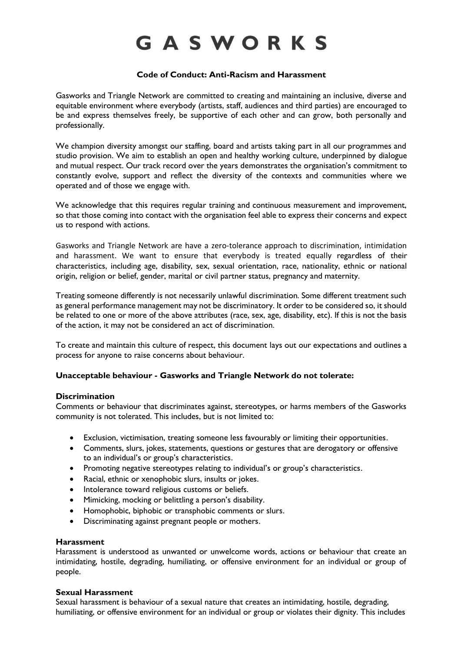# GASWORKS

# **Code of Conduct: Anti-Racism and Harassment**

Gasworks and Triangle Network are committed to creating and maintaining an inclusive, diverse and equitable environment where everybody (artists, staff, audiences and third parties) are encouraged to be and express themselves freely, be supportive of each other and can grow, both personally and professionally.

We champion diversity amongst our staffing, board and artists taking part in all our programmes and studio provision. We aim to establish an open and healthy working culture, underpinned by dialogue and mutual respect. Our track record over the years demonstrates the organisation's commitment to constantly evolve, support and reflect the diversity of the contexts and communities where we operated and of those we engage with.

We acknowledge that this requires regular training and continuous measurement and improvement, so that those coming into contact with the organisation feel able to express their concerns and expect us to respond with actions.

Gasworks and Triangle Network are have a zero-tolerance approach to discrimination, intimidation and harassment. We want to ensure that everybody is treated equally regardless of their characteristics, including age, disability, sex, sexual orientation, race, nationality, ethnic or national origin, religion or belief, gender, marital or civil partner status, pregnancy and maternity.

Treating someone differently is not necessarily unlawful discrimination. Some different treatment such as general performance management may not be discriminatory. It order to be considered so, it should be related to one or more of the above attributes (race, sex, age, disability, etc). If this is not the basis of the action, it may not be considered an act of discrimination.

To create and maintain this culture of respect, this document lays out our expectations and outlines a process for anyone to raise concerns about behaviour.

### **Unacceptable behaviour - Gasworks and Triangle Network do not tolerate:**

### **Discrimination**

Comments or behaviour that discriminates against, stereotypes, or harms members of the Gasworks community is not tolerated. This includes, but is not limited to:

- Exclusion, victimisation, treating someone less favourably or limiting their opportunities.
- Comments, slurs, jokes, statements, questions or gestures that are derogatory or offensive to an individual's or group's characteristics.
- Promoting negative stereotypes relating to individual's or group's characteristics.
- Racial, ethnic or xenophobic slurs, insults or jokes.
- Intolerance toward religious customs or beliefs.
- Mimicking, mocking or belittling a person's disability.
- Homophobic, biphobic or transphobic comments or slurs.
- Discriminating against pregnant people or mothers.

### **Harassment**

Harassment is understood as unwanted or unwelcome words, actions or behaviour that create an intimidating, hostile, degrading, humiliating, or offensive environment for an individual or group of people.

## **Sexual Harassment**

Sexual harassment is behaviour of a sexual nature that creates an intimidating, hostile, degrading, humiliating, or offensive environment for an individual or group or violates their dignity. This includes